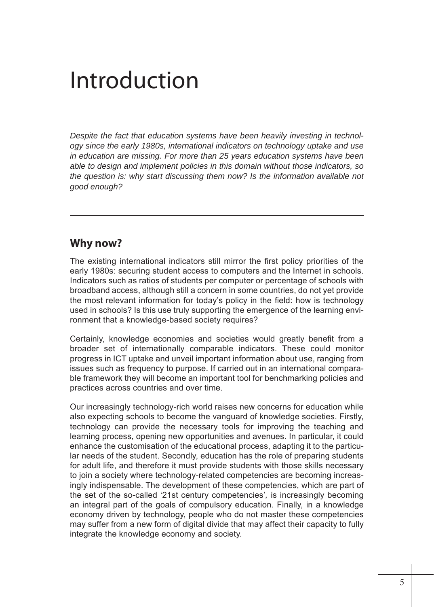# Introduction

*Despite the fact that education systems have been heavily investing in technology since the early 1980s, international indicators on technology uptake and use in education are missing. For more than 25 years education systems have been able to design and implement policies in this domain without those indicators, so the question is: why start discussing them now? Is the information available not good enough?*

#### **Why now?**

The existing international indicators still mirror the first policy priorities of the early 1980s: securing student access to computers and the Internet in schools. Indicators such as ratios of students per computer or percentage of schools with broadband access, although still a concern in some countries, do not yet provide the most relevant information for today's policy in the field: how is technology used in schools? Is this use truly supporting the emergence of the learning environment that a knowledge-based society requires?

Certainly, knowledge economies and societies would greatly benefit from a broader set of internationally comparable indicators. These could monitor progress in ICT uptake and unveil important information about use, ranging from issues such as frequency to purpose. If carried out in an international comparable framework they will become an important tool for benchmarking policies and practices across countries and over time.

Our increasingly technology-rich world raises new concerns for education while also expecting schools to become the vanguard of knowledge societies. Firstly, technology can provide the necessary tools for improving the teaching and learning process, opening new opportunities and avenues. In particular, it could enhance the customisation of the educational process, adapting it to the particular needs of the student. Secondly, education has the role of preparing students for adult life, and therefore it must provide students with those skills necessary to join a society where technology-related competencies are becoming increasingly indispensable. The development of these competencies, which are part of the set of the so-called '21st century competencies'*,* is increasingly becoming an integral part of the goals of compulsory education. Finally, in a knowledge economy driven by technology, people who do not master these competencies may suffer from a new form of digital divide that may affect their capacity to fully integrate the knowledge economy and society.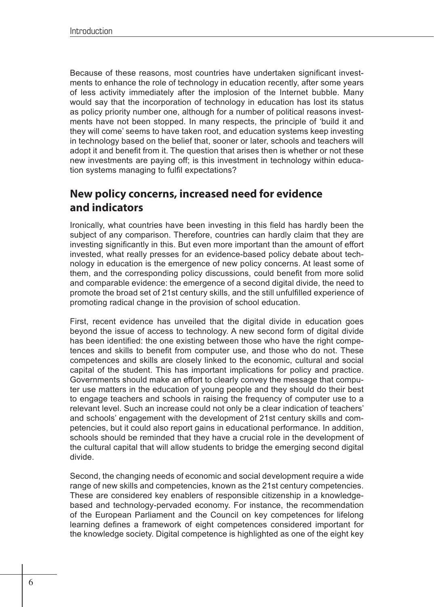Because of these reasons, most countries have undertaken significant investments to enhance the role of technology in education recently, after some years of less activity immediately after the implosion of the Internet bubble. Many would say that the incorporation of technology in education has lost its status as policy priority number one, although for a number of political reasons investments have not been stopped. In many respects, the principle of 'build it and they will come' seems to have taken root, and education systems keep investing in technology based on the belief that, sooner or later, schools and teachers will adopt it and benefit from it. The question that arises then is whether or not these new investments are paying off; is this investment in technology within education systems managing to fulfil expectations?

### **New policy concerns, increased need for evidence and indicators**

Ironically, what countries have been investing in this field has hardly been the subject of any comparison. Therefore, countries can hardly claim that they are investing significantly in this. But even more important than the amount of effort invested, what really presses for an evidence-based policy debate about technology in education is the emergence of new policy concerns. At least some of them, and the corresponding policy discussions, could benefit from more solid and comparable evidence: the emergence of a second digital divide, the need to promote the broad set of 21st century skills, and the still unfulfilled experience of promoting radical change in the provision of school education.

First, recent evidence has unveiled that the digital divide in education goes beyond the issue of access to technology. A new second form of digital divide has been identified: the one existing between those who have the right competences and skills to benefit from computer use, and those who do not. These competences and skills are closely linked to the economic, cultural and social capital of the student. This has important implications for policy and practice. Governments should make an effort to clearly convey the message that computer use matters in the education of young people and they should do their best to engage teachers and schools in raising the frequency of computer use to a relevant level. Such an increase could not only be a clear indication of teachers' and schools' engagement with the development of 21st century skills and competencies, but it could also report gains in educational performance. In addition, schools should be reminded that they have a crucial role in the development of the cultural capital that will allow students to bridge the emerging second digital divide.

Second, the changing needs of economic and social development require a wide range of new skills and competencies, known as the 21st century competencies. These are considered key enablers of responsible citizenship in a knowledgebased and technology-pervaded economy. For instance, the recommendation of the European Parliament and the Council on key competences for lifelong learning defines a framework of eight competences considered important for the knowledge society. Digital competence is highlighted as one of the eight key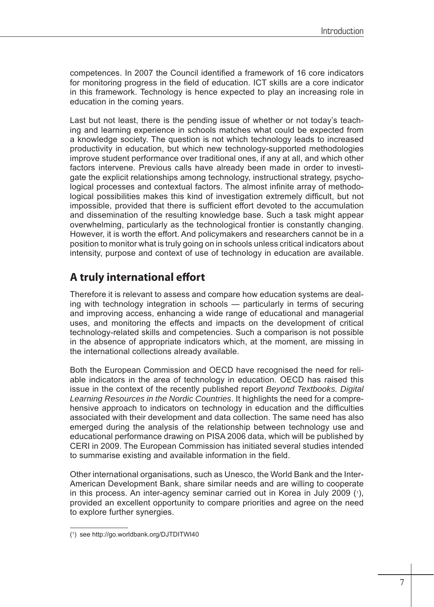competences. In 2007 the Council identified a framework of 16 core indicators for monitoring progress in the field of education. ICT skills are a core indicator in this framework. Technology is hence expected to play an increasing role in education in the coming years.

Last but not least, there is the pending issue of whether or not today's teaching and learning experience in schools matches what could be expected from a knowledge society. The question is not which technology leads to increased productivity in education, but which new technology-supported methodologies improve student performance over traditional ones, if any at all, and which other factors intervene. Previous calls have already been made in order to investigate the explicit relationships among technology, instructional strategy, psychological processes and contextual factors. The almost infinite array of methodological possibilities makes this kind of investigation extremely difficult, but not impossible, provided that there is sufficient effort devoted to the accumulation and dissemination of the resulting knowledge base. Such a task might appear overwhelming, particularly as the technological frontier is constantly changing. However, it is worth the effort. And policymakers and researchers cannot be in a position to monitor what is truly going on in schools unless critical indicators about intensity, purpose and context of use of technology in education are available.

## **A truly international effort**

Therefore it is relevant to assess and compare how education systems are dealing with technology integration in schools — particularly in terms of securing and improving access, enhancing a wide range of educational and managerial uses, and monitoring the effects and impacts on the development of critical technology-related skills and competencies. Such a comparison is not possible in the absence of appropriate indicators which, at the moment, are missing in the international collections already available.

Both the European Commission and OECD have recognised the need for reliable indicators in the area of technology in education. OECD has raised this issue in the context of the recently published report *Beyond Textbooks. Digital Learning Resources in the Nordic Countries*. It highlights the need for a comprehensive approach to indicators on technology in education and the difficulties associated with their development and data collection. The same need has also emerged during the analysis of the relationship between technology use and educational performance drawing on PISA 2006 data, which will be published by CERI in 2009. The European Commission has initiated several studies intended to summarise existing and available information in the field.

Other international organisations, such as Unesco, the World Bank and the Inter-American Development Bank, share similar needs and are willing to cooperate in this process. An inter-agency seminar carried out in Korea in July 2009 (1), provided an excellent opportunity to compare priorities and agree on the need to explore further synergies.

<sup>(1</sup> ) see http://go.worldbank.org/DJTDITWI40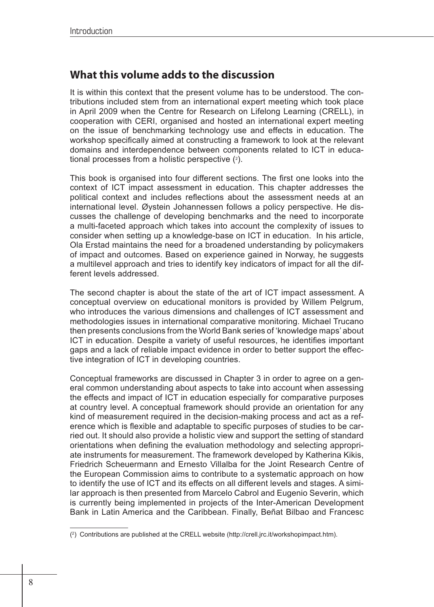#### **What this volume adds to the discussion**

It is within this context that the present volume has to be understood. The contributions included stem from an international expert meeting which took place in April 2009 when the Centre for Research on Lifelong Learning (CRELL), in cooperation with CERI, organised and hosted an international expert meeting on the issue of benchmarking technology use and effects in education. The workshop specifically aimed at constructing a framework to look at the relevant domains and interdependence between components related to ICT in educational processes from a holistic perspective  $(2)$ .

This book is organised into four different sections. The first one looks into the context of ICT impact assessment in education. This chapter addresses the political context and includes reflections about the assessment needs at an international level. Øystein Johannessen follows a policy perspective. He discusses the challenge of developing benchmarks and the need to incorporate a multi-faceted approach which takes into account the complexity of issues to consider when setting up a knowledge-base on ICT in education. In his article, Ola Erstad maintains the need for a broadened understanding by policymakers of impact and outcomes. Based on experience gained in Norway, he suggests a multilevel approach and tries to identify key indicators of impact for all the different levels addressed.

The second chapter is about the state of the art of ICT impact assessment. A conceptual overview on educational monitors is provided by Willem Pelgrum, who introduces the various dimensions and challenges of ICT assessment and methodologies issues in international comparative monitoring. Michael Trucano then presents conclusions from the World Bank series of 'knowledge maps' about ICT in education. Despite a variety of useful resources, he identifies important gaps and a lack of reliable impact evidence in order to better support the effective integration of ICT in developing countries.

Conceptual frameworks are discussed in Chapter 3 in order to agree on a general common understanding about aspects to take into account when assessing the effects and impact of ICT in education especially for comparative purposes at country level. A conceptual framework should provide an orientation for any kind of measurement required in the decision-making process and act as a reference which is flexible and adaptable to specific purposes of studies to be carried out. It should also provide a holistic view and support the setting of standard orientations when defining the evaluation methodology and selecting appropriate instruments for measurement. The framework developed by Katherina Kikis, Friedrich Scheuermann and Ernesto Villalba for the Joint Research Centre of the European Commission aims to contribute to a systematic approach on how to identify the use of ICT and its effects on all different levels and stages. A similar approach is then presented from Marcelo Cabrol and Eugenio Severin, which is currently being implemented in projects of the Inter-American Development Bank in Latin America and the Caribbean. Finally, Beñat Bilbao and Francesc

<sup>(2</sup> ) Contributions are published at the CRELL website (http://crell.jrc.it/workshopimpact.htm).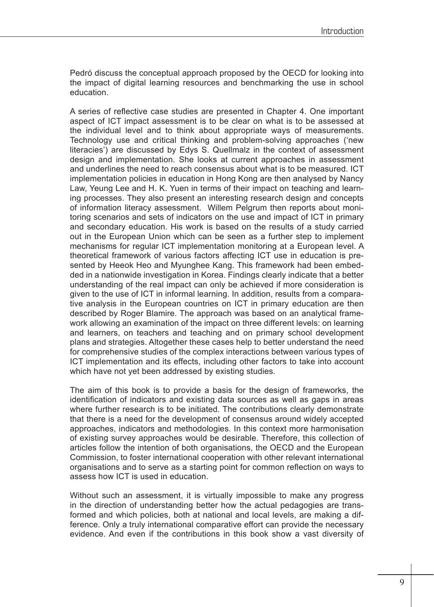Pedró discuss the conceptual approach proposed by the OECD for looking into the impact of digital learning resources and benchmarking the use in school education.

A series of reflective case studies are presented in Chapter 4. One important aspect of ICT impact assessment is to be clear on what is to be assessed at the individual level and to think about appropriate ways of measurements. Technology use and critical thinking and problem-solving approaches ('new literacies') are discussed by Edys S. Quellmalz in the context of assessment design and implementation. She looks at current approaches in assessment and underlines the need to reach consensus about what is to be measured. ICT implementation policies in education in Hong Kong are then analysed by Nancy Law, Yeung Lee and H. K. Yuen in terms of their impact on teaching and learning processes. They also present an interesting research design and concepts of information literacy assessment. Willem Pelgrum then reports about monitoring scenarios and sets of indicators on the use and impact of ICT in primary and secondary education. His work is based on the results of a study carried out in the European Union which can be seen as a further step to implement mechanisms for regular ICT implementation monitoring at a European level. A theoretical framework of various factors affecting ICT use in education is presented by Heeok Heo and Myunghee Kang. This framework had been embedded in a nationwide investigation in Korea. Findings clearly indicate that a better understanding of the real impact can only be achieved if more consideration is given to the use of ICT in informal learning. In addition, results from a comparative analysis in the European countries on ICT in primary education are then described by Roger Blamire. The approach was based on an analytical framework allowing an examination of the impact on three different levels: on learning and learners, on teachers and teaching and on primary school development plans and strategies. Altogether these cases help to better understand the need for comprehensive studies of the complex interactions between various types of ICT implementation and its effects, including other factors to take into account which have not yet been addressed by existing studies.

The aim of this book is to provide a basis for the design of frameworks, the identification of indicators and existing data sources as well as gaps in areas where further research is to be initiated. The contributions clearly demonstrate that there is a need for the development of consensus around widely accepted approaches, indicators and methodologies. In this context more harmonisation of existing survey approaches would be desirable. Therefore, this collection of articles follow the intention of both organisations, the OECD and the European Commission, to foster international cooperation with other relevant international organisations and to serve as a starting point for common reflection on ways to assess how ICT is used in education.

Without such an assessment, it is virtually impossible to make any progress in the direction of understanding better how the actual pedagogies are transformed and which policies, both at national and local levels, are making a difference. Only a truly international comparative effort can provide the necessary evidence. And even if the contributions in this book show a vast diversity of